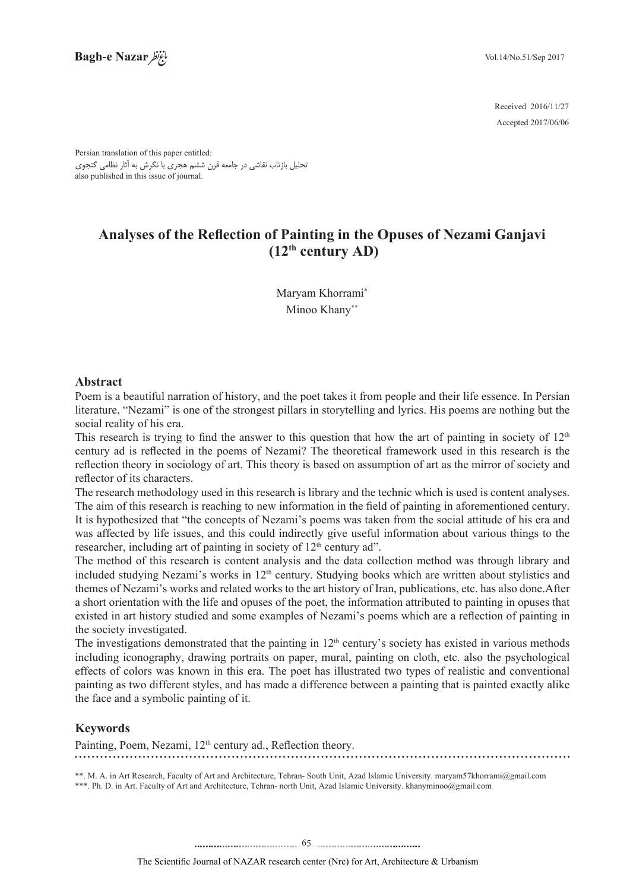2016/11/27 Received Accepted 2017/06/06

Persian translation of this paper entitled: تحلیل بازتاب نقاشی در جامعه قرن ششم هجری با نگرش به آثار نظامی گنجوی also published in this issue of journal.

# **Analyses of the Reflection of Painting in the Opuses of Nezami Ganjavi**  $(12<sup>th</sup>$  century AD)

Maryam Khorrami\* Minoo Khany\*\*

# **Abstract**

Poem is a beautiful narration of history, and the poet takes it from people and their life essence. In Persian literature, "Nezami" is one of the strongest pillars in storytelling and lyrics. His poems are nothing but the social reality of his era.

This research is trying to find the answer to this question that how the art of painting in society of  $12<sup>th</sup>$ century ad is reflected in the poems of Nezami? The theoretical framework used in this research is the reflection theory in sociology of art. This theory is based on assumption of art as the mirror of society and reflector of its characters.

The research methodology used in this research is library and the technic which is used is content analyses. The aim of this research is reaching to new information in the field of painting in aforementioned century. It is hypothesized that "the concepts of Nezami's poems was taken from the social attitude of his era and was affected by life issues, and this could indirectly give useful information about various things to the researcher, including art of painting in society of 12<sup>th</sup> century ad".

The method of this research is content analysis and the data collection method was through library and included studying Nezami's works in 12<sup>th</sup> century. Studying books which are written about stylistics and themes of Nezami's works and related works to the art history of Iran, publications, etc. has also done. After a short orientation with the life and opuses of the poet, the information attributed to painting in opuses that existed in art history studied and some examples of Nezami's poems which are a reflection of painting in the society investigated.

The investigations demonstrated that the painting in  $12<sup>th</sup>$  century's society has existed in various methods including iconography, drawing portraits on paper, mural, painting on cloth, etc. also the psychological effects of colors was known in this era. The poet has illustrated two types of realistic and conventional painting as two different styles, and has made a difference between a painting that is painted exactly alike the face and a symbolic painting of it.

# **Keywords**

Painting, Poem, Nezami, 12<sup>th</sup> century ad., Reflection theory.

\*\*. M. A. in Art Research, Faculty of Art and Architecture, Tehran- South Unit, Azad Islamic University. maryam 57khorrami@gmail.com \*\*\*. Ph. D. in Art. Faculty of Art and Architecture, Tehran- north Unit, Azad Islamic University. khanyminoo@gmail.com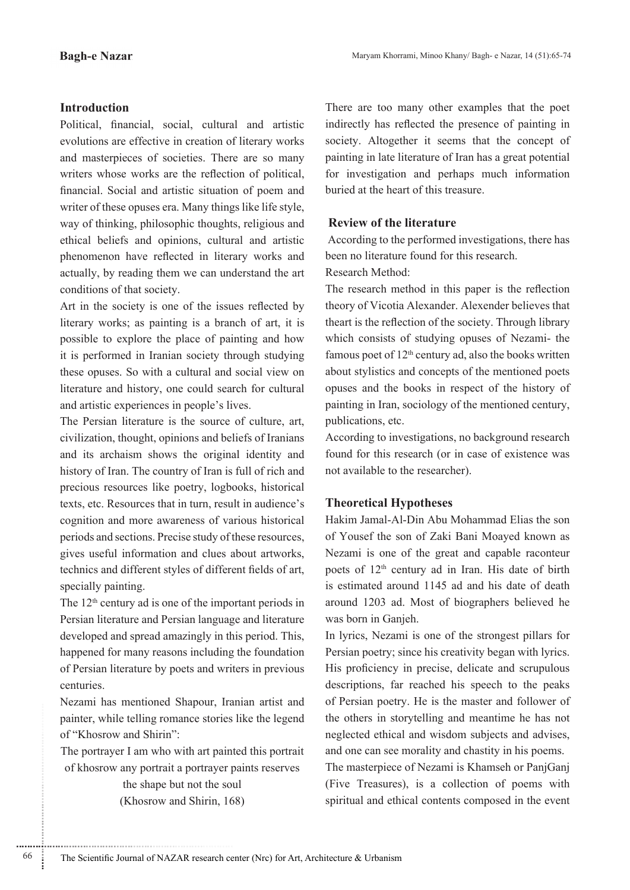# **Introduction**

Political, financial, social, cultural and artistic evolutions are effective in creation of literary works and masterpieces of societies. There are so many writers whose works are the reflection of political, financial. Social and artistic situation of poem and writer of these opuses era. Many things like life style, way of thinking, philosophic thoughts, religious and ethical beliefs and opinions, cultural and artistic phenomenon have reflected in literary works and actually, by reading them we can understand the art conditions of that society.

Art in the society is one of the issues reflected by literary works; as painting is a branch of art, it is possible to explore the place of painting and how it is performed in Iranian society through studying these opuses. So with a cultural and social view on literature and history, one could search for cultural and artistic experiences in people's lives.

The Persian literature is the source of culture, art, civilization, thought, opinions and beliefs of Iranians and its archaism shows the original identity and history of Iran. The country of Iran is full of rich and precious resources like poetry, logbooks, historical texts, etc. Resources that in turn, result in audience's cognition and more awareness of various historical periods and sections. Precise study of these resources, gives useful information and clues about artworks, technics and different styles of different fields of art, specially painting.

The  $12<sup>th</sup>$  century ad is one of the important periods in Persian literature and Persian language and literature developed and spread amazingly in this period. This, happened for many reasons including the foundation of Persian literature by poets and writers in previous .centuries

Nezami has mentioned Shapour, Iranian artist and painter, while telling romance stories like the legend of "Khosrow and Shirin":

The portrayer I am who with art painted this portrait of khosrow any portrait a portrayer paints reserves

> the shape but not the soul  $(Khosrow$  and Shirin, 168)

............................................................

There are too many other examples that the poet indirectly has reflected the presence of painting in society. Altogether it seems that the concept of painting in late literature of Iran has a great potential for investigation and perhaps much information buried at the heart of this treasure.

# **Review of the literature**

According to the performed investigations, there has been no literature found for this research.

Research Method:

The research method in this paper is the reflection theory of Vicotia Alexander. Alexender believes that theart is the reflection of the society. Through library which consists of studying opuses of Nezami- the famous poet of  $12<sup>th</sup>$  century ad, also the books written about stylistics and concepts of the mentioned poets opuses and the books in respect of the history of painting in Iran, sociology of the mentioned century, publications, etc.

According to investigations, no background research found for this research (or in case of existence was not available to the researcher).

# **Hypotheses Theoretical**

Hakim Jamal-Al-Din Abu Mohammad Elias the son of Yousef the son of Zaki Bani Moayed known as Nezami is one of the great and capable raconteur poets of  $12<sup>th</sup>$  century ad in Iran. His date of birth is estimated around 1145 ad and his date of death around 1203 ad. Most of biographers believed he was born in Ganjeh.

In lyrics, Nezami is one of the strongest pillars for Persian poetry; since his creativity began with lyrics. His proficiency in precise, delicate and scrupulous descriptions, far reached his speech to the peaks of Persian poetry. He is the master and follower of the others in storytelling and meantime he has not neglected ethical and wisdom subjects and advises, and one can see morality and chastity in his poems.

The masterpiece of Nezami is Khamseh or PanjGanj (Five Treasures), is a collection of poems with spiritual and ethical contents composed in the event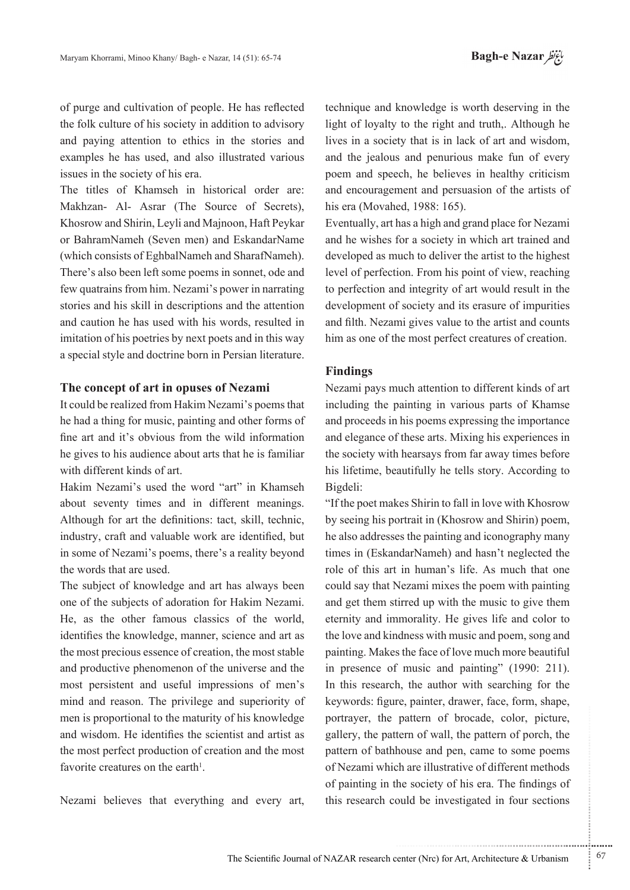of purge and cultivation of people. He has reflected the folk culture of his society in addition to advisory and paying attention to ethics in the stories and examples he has used, and also illustrated various issues in the society of his era.

The titles of Khamseh in historical order are: Makhzan- Al- Asrar (The Source of Secrets), Khosrow and Shirin, Leyli and Majnoon, Haft Peykar or BahramNameh (Seven men) and EskandarName (which consists of EghbalNameh and SharafNameh). There's also been left some poems in sonnet, ode and few quatrains from him. Nezami's power in narrating stories and his skill in descriptions and the attention and caution he has used with his words, resulted in imitation of his poetries by next poets and in this way a special style and doctrine born in Persian literature.

### **The concept of art in opuses of Nezami**

It could be realized from Hakim Nezami's poems that he had a thing for music, painting and other forms of fine art and it's obvious from the wild information he gives to his audience about arts that he is familiar with different kinds of art

Hakim Nezami's used the word "art" in Khamseh about seventy times and in different meanings. Although for art the definitions: tact, skill, technic, industry, craft and valuable work are identified, but in some of Nezami's poems, there's a reality beyond the words that are used.

The subject of knowledge and art has always been one of the subjects of adoration for Hakim Nezami. He, as the other famous classics of the world, identifies the knowledge, manner, science and art as the most precious essence of creation, the most stable and productive phenomenon of the universe and the most persistent and useful impressions of men's mind and reason. The privilege and superiority of men is proportional to the maturity of his knowledge and wisdom. He identifies the scientist and artist as the most perfect production of creation and the most favorite creatures on the earth<sup>1</sup>.

Nezami believes that everything and every art,

technique and knowledge is worth deserving in the light of loyalty to the right and truth,. Although he lives in a society that is in lack of art and wisdom, and the jealous and penurious make fun of every poem and speech, he believes in healthy criticism and encouragement and persuasion of the artists of his era (Movahed, 1988: 165).

Eventually, art has a high and grand place for Nezami and he wishes for a society in which art trained and developed as much to deliver the artist to the highest level of perfection. From his point of view, reaching to perfection and integrity of art would result in the development of society and its erasure of impurities and filth. Nezami gives value to the artist and counts him as one of the most perfect creatures of creation.

### **Findings**

Nezami pays much attention to different kinds of art including the painting in various parts of Khamse and proceeds in his poems expressing the importance and elegance of these arts. Mixing his experiences in the society with hearsays from far away times before his lifetime, beautifully he tells story. According to Bigdeli:

"If the poet makes Shirin to fall in love with Khosrow by seeing his portrait in (Khosrow and Shirin) poem, he also addresses the painting and iconography many times in (EskandarNameh) and hasn't neglected the role of this art in human's life. As much that one could say that Nezami mixes the poem with painting and get them stirred up with the music to give them eternity and immorality. He gives life and color to the love and kindness with music and poem, song and painting. Makes the face of love much more beautiful in presence of music and painting"  $(1990: 211)$ . In this research, the author with searching for the keywords: figure, painter, drawer, face, form, shape, portrayer, the pattern of brocade, color, picture, gallery, the pattern of wall, the pattern of porch, the pattern of bathhouse and pen, came to some poems of Nezami which are illustrative of different methods of painting in the society of his era. The findings of this research could be investigated in four sections

.......... ....... ........ ........... ...... ....... ........ .......... ...........

The Scientific Journal of NAZAR research center (Nrc) for Art, Architecture & Urbanism  $\frac{67}{67}$ 

...........................................................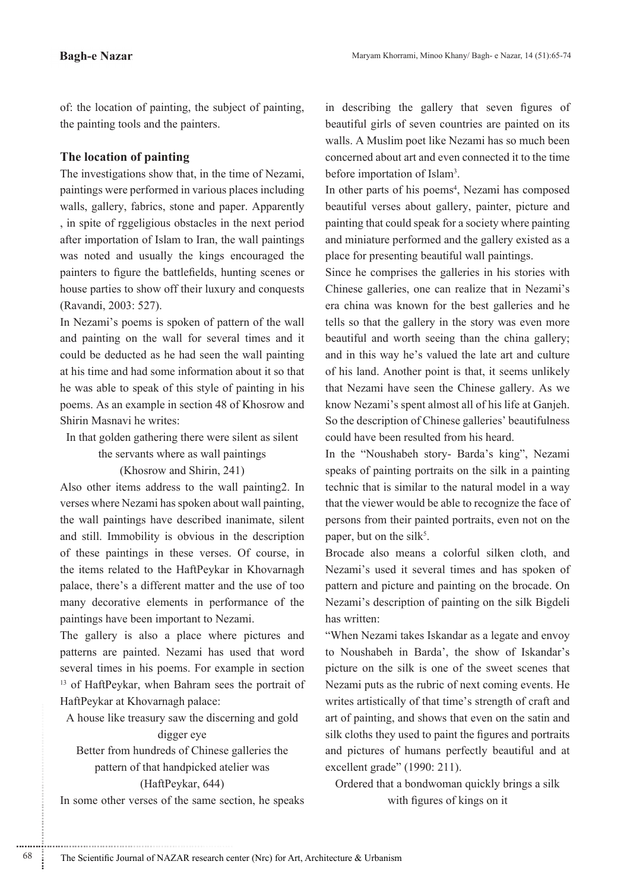of: the location of painting, the subject of painting, the painting tools and the painters.

# **The location of painting**

The investigations show that, in the time of Nezami, paintings were performed in various places including walls, gallery, fabrics, stone and paper. Apparently , in spite of rggeligious obstacles in the next period after importation of Islam to Iran, the wall paintings was noted and usually the kings encouraged the painters to figure the battlefields, hunting scenes or house parties to show off their luxury and conquests (Ravandi, 2003: 527).

In Nezami's poems is spoken of pattern of the wall and painting on the wall for several times and it could be deducted as he had seen the wall painting at his time and had some information about it so that he was able to speak of this style of painting in his poems. As an example in section 48 of Khosrow and Shirin Masnavi he writes:

In that golden gathering there were silent as silent

the servants where as wall paintings

# $(Khosrow$  and Shirin, 241)

Also other items address to the wall painting 2. In verses where Nezami has spoken about wall painting. the wall paintings have described inanimate, silent and still. Immobility is obvious in the description of these paintings in these verses. Of course, in the items related to the HaftPeykar in Khovarnagh palace, there's a different matter and the use of too many decorative elements in performance of the paintings have been important to Nezami.

The gallery is also a place where pictures and patterns are painted. Nezami has used that word several times in his poems. For example in section  $13$  of HaftPeykar, when Bahram sees the portrait of HaftPeykar at Khovarnagh palace:

A house like treasury saw the discerning and gold

# digger eye

Better from hundreds of Chinese galleries the pattern of that handpicked atelier was (HaftPeykar, 644)

In some other verses of the same section, he speaks

............................................................

in describing the gallery that seven figures of beautiful girls of seven countries are painted on its walls. A Muslim poet like Nezami has so much been concerned about art and even connected it to the time before importation of Islam<sup>3</sup>.

In other parts of his poems<sup>4</sup>, Nezami has composed beautiful verses about gallery, painter, picture and painting that could speak for a society where painting and miniature performed and the gallery existed as a place for presenting beautiful wall paintings.

Since he comprises the galleries in his stories with Chinese galleries, one can realize that in Nezami's era china was known for the best galleries and he tells so that the gallery in the story was even more beautiful and worth seeing than the china gallery; and in this way he's valued the late art and culture of his land. Another point is that, it seems unlikely that Nezami have seen the Chinese gallery. As we know Nezami's spent almost all of his life at Ganjeh. So the description of Chinese galleries' beautifulness could have been resulted from his heard.

In the "Noushabeh story- Barda's king", Nezami speaks of painting portraits on the silk in a painting technic that is similar to the natural model in a way that the viewer would be able to recognize the face of persons from their painted portraits, even not on the paper, but on the silk<sup>5</sup>.

Brocade also means a colorful silken cloth, and Nezami's used it several times and has spoken of pattern and picture and painting on the brocade. On Nezami's description of painting on the silk Bigdeli has written:

"When Nezami takes Iskandar as a legate and envoy to Noushabeh in Barda', the show of Iskandar's picture on the silk is one of the sweet scenes that Nezami puts as the rubric of next coming events. He writes artistically of that time's strength of craft and art of painting, and shows that even on the satin and silk cloths they used to paint the figures and portraits and pictures of humans perfectly beautiful and at excellent grade"  $(1990:211)$ .

Ordered that a bondwoman quickly brings a silk with figures of kings on it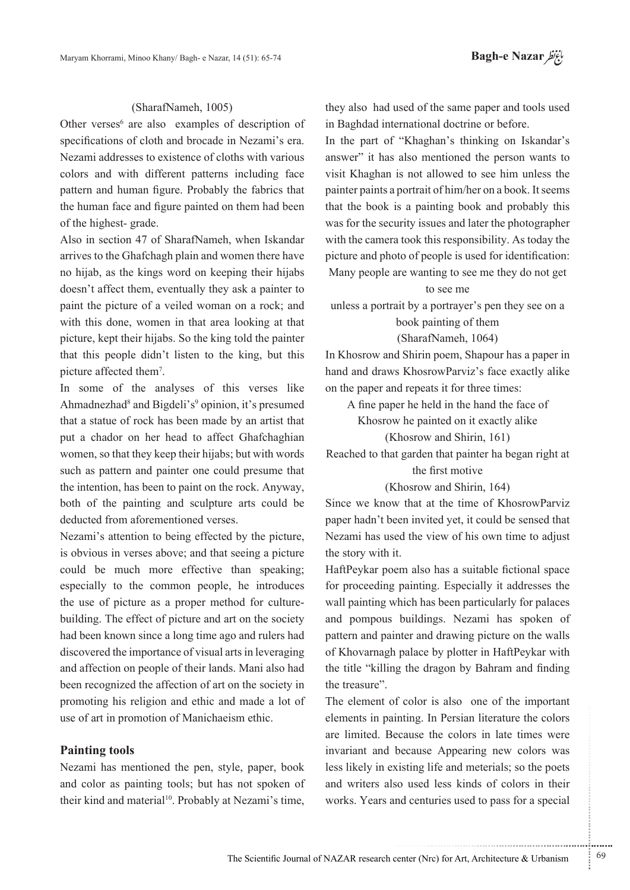# (SharafNameh, 1005)

Other verses $6$  are also examples of description of specifications of cloth and brocade in Nezami's era. Nezami addresses to existence of cloths with various colors and with different patterns including face pattern and human figure. Probably the fabrics that the human face and figure painted on them had been of the highest-grade.

Also in section 47 of SharafNameh, when Iskandar arrives to the Ghafchagh plain and women there have no hijab, as the kings word on keeping their hijabs doesn't affect them, eventually they ask a painter to paint the picture of a veiled woman on a rock; and with this done, women in that area looking at that picture, kept their hijabs. So the king told the painter that this people didn't listen to the king, but this picture affected them<sup>7</sup>.

In some of the analyses of this verses like Ahmadnezhad<sup>8</sup> and Bigdeli's<sup>9</sup> opinion, it's presumed that a statue of rock has been made by an artist that put a chador on her head to affect Ghafchaghian women, so that they keep their hijabs; but with words such as pattern and painter one could presume that the intention, has been to paint on the rock. Anyway, both of the painting and sculpture arts could be deducted from aforementioned verses.

Nezami's attention to being effected by the picture, is obvious in verses above; and that seeing a picture could be much more effective than speaking; especially to the common people, he introduces building. The effect of picture and art on the society the use of picture as a proper method for culturehad been known since a long time ago and rulers had discovered the importance of visual arts in leveraging and affection on people of their lands. Mani also had been recognized the affection of art on the society in promoting his religion and ethic and made a lot of use of art in promotion of Manichaeism ethic.

### **Painting** tools

Nezami has mentioned the pen, style, paper, book and color as painting tools; but has not spoken of their kind and material<sup>10</sup>. Probably at Nezami's time, they also had used of the same paper and tools used in Baghdad international doctrine or before.

In the part of "Khaghan's thinking on Iskandar's answer" it has also mentioned the person wants to visit Khaghan is not allowed to see him unless the painter paints a portrait of him/her on a book. It seems that the book is a painting book and probably this was for the security issues and later the photographer with the camera took this responsibility. As today the picture and photo of people is used for identification: Many people are wanting to see me they do not get

#### to see me

unless a portrait by a portrayer's pen they see on a book painting of them

#### (SharafNameh, 1064)

In Khosrow and Shirin poem, Shapour has a paper in hand and draws KhosrowParviz's face exactly alike on the paper and repeats it for three times:

A fine paper he held in the hand the face of

Khosrow he painted on it exactly alike

#### $(Khosrow$  and Shirin, 161)

Reached to that garden that painter ha began right at the first motive

#### $(K$ hosrow and Shirin 164)

Since we know that at the time of KhosrowParviz paper hadn't been invited yet, it could be sensed that Nezami has used the view of his own time to adjust the story with it.

HaftPeykar poem also has a suitable fictional space for proceeding painting. Especially it addresses the wall painting which has been particularly for palaces and pompous buildings. Nezami has spoken of pattern and painter and drawing picture on the walls of Khovarnagh palace by plotter in HaftPeykar with the title "killing the dragon by Bahram and finding" the treasure".

The element of color is also one of the important elements in painting. In Persian literature the colors are limited. Because the colors in late times were invariant and because Appearing new colors was less likely in existing life and meterials; so the poets and writers also used less kinds of colors in their works. Years and centuries used to pass for a special

.......... ....... ........ ........... ...... ....... ........ .......... ...........

...........................................................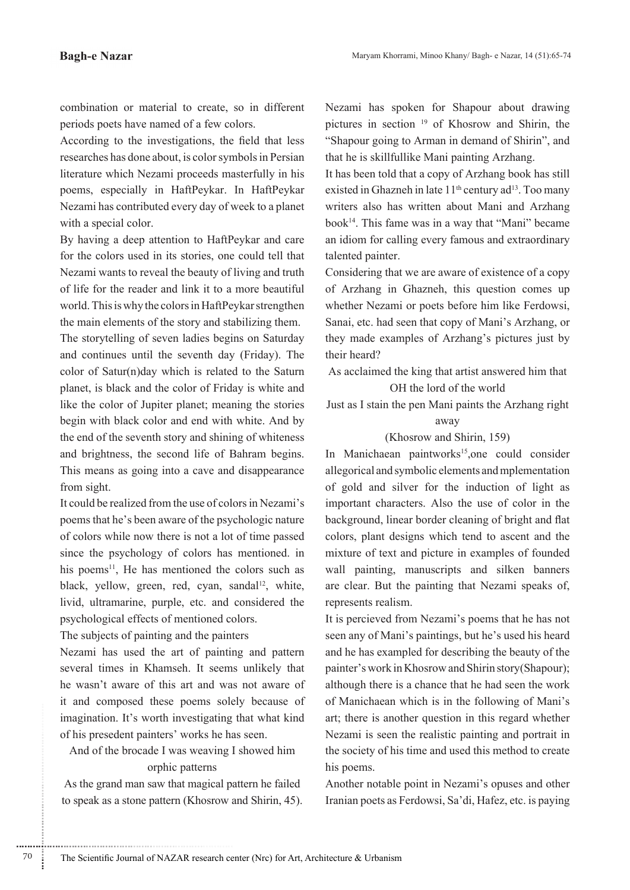combination or material to create, so in different periods poets have named of a few colors.

According to the investigations, the field that less researches has done about, is color symbols in Persian literature which Nezami proceeds masterfully in his poems, especially in HaftPeykar. In HaftPeykar Nezami has contributed every day of week to a planet with a special color.

By having a deep attention to HaftPeykar and care for the colors used in its stories, one could tell that Nezami wants to reveal the beauty of living and truth of life for the reader and link it to a more beautiful world. This is why the colors in HaftPeykar strengthen the main elements of the story and stabilizing them.

The storytelling of seven ladies begins on Saturday and continues until the seventh day (Friday). The color of Satur(n)day which is related to the Saturn planet, is black and the color of Friday is white and like the color of Jupiter planet; meaning the stories begin with black color and end with white. And by the end of the seventh story and shining of whiteness and brightness, the second life of Bahram begins. This means as going into a cave and disappearance from sight.

It could be realized from the use of colors in Nezami's poems that he's been aware of the psychologic nature of colors while now there is not a lot of time passed since the psychology of colors has mentioned. in his poems $11$ , He has mentioned the colors such as black, yellow, green, red, cyan, sandal<sup>12</sup>, white, livid, ultramarine, purple, etc. and considered the psychological effects of mentioned colors.

The subjects of painting and the painters

Nezami has used the art of painting and pattern several times in Khamseh. It seems unlikely that he wasn't aware of this art and was not aware of it and composed these poems solely because of imagination. It's worth investigating that what kind of his presedent painters' works he has seen.

And of the brocade I was weaving I showed him orphic patterns

As the grand man saw that magical pattern he failed to speak as a stone pattern (Khosrow and Shirin, 45).

............................................................

Nezami has spoken for Shapour about drawing pictures in section  $19$  of Khosrow and Shirin, the "Shapour going to Arman in demand of Shirin", and that he is skillfullike Mani painting Arzhang.

It has been told that a copy of Arzhang book has still existed in Ghazneh in late 11<sup>th</sup> century ad<sup>13</sup>. Too many writers also has written about Mani and Arzhang book<sup>14</sup>. This fame was in a way that "Mani" became an idiom for calling every famous and extraordinary talented painter.

Considering that we are aware of existence of a copy of Arzhang in Ghazneh, this question comes up whether Nezami or poets before him like Ferdowsi, Sanai, etc. had seen that copy of Mani's Arzhang, or they made examples of Arzhang's pictures just by their heard?

As acclaimed the king that artist answered him that OH the lord of the world

Just as I stain the pen Mani paints the Arzhang right away

### $(Khosrow$  and Shirin, 159)

In Manichaean paintworks<sup>15</sup>, one could consider allegorical and symbolic elements and mplementation of gold and silver for the induction of light as important characters. Also the use of color in the background, linear border cleaning of bright and flat colors, plant designs which tend to ascent and the mixture of text and picture in examples of founded wall painting, manuscripts and silken banners are clear. But the painting that Nezami speaks of, represents realism.

It is percieved from Nezami's poems that he has not seen any of Mani's paintings, but he's used his heard and he has exampled for describing the beauty of the painter's work in Khosrow and Shirin story (Shapour); although there is a chance that he had seen the work of Manichaean which is in the following of Mani's art; there is another question in this regard whether Nezami is seen the realistic painting and portrait in the society of his time and used this method to create his poems.

Another notable point in Nezami's opuses and other Iranian poets as Ferdowsi, Sa'di, Hafez, etc. is paying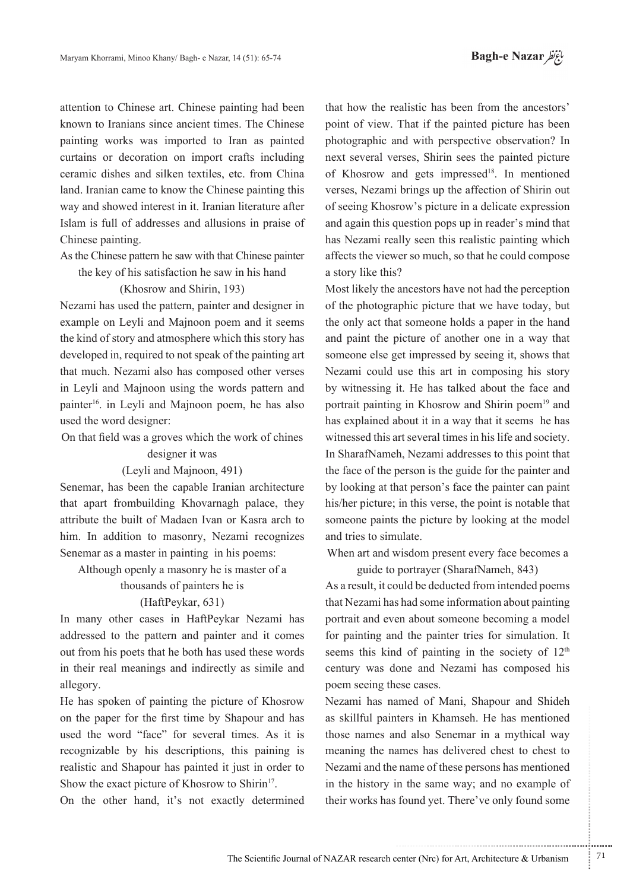attention to Chinese art. Chinese painting had been known to Iranians since ancient times. The Chinese painting works was imported to Iran as painted curtains or decoration on import crafts including ceramic dishes and silken textiles, etc. from China land. Iranian came to know the Chinese painting this way and showed interest in it. Iranian literature after Islam is full of addresses and allusions in praise of Chinese painting.

As the Chinese pattern he saw with that Chinese painter the key of his satisfaction he saw in his hand

### $(K$ hosrow and Shirin, 193)

Nezami has used the pattern, painter and designer in example on Leyli and Majnoon poem and it seems the kind of story and atmosphere which this story has developed in, required to not speak of the painting art that much. Nezami also has composed other verses in Levli and Majnoon using the words pattern and painter<sup>16</sup>. in Leyli and Majnoon poem, he has also used the word designer:

On that field was a groves which the work of chines

#### designer it was

#### $(Levli and Major)$

Senemar, has been the capable Iranian architecture that apart frombuilding Khovarnagh palace, they attribute the built of Madaen Ivan or Kasra arch to him. In addition to masonry, Nezami recognizes Senemar as a master in painting in his poems:

Although openly a masonry he is master of a

# thousands of painters he is  $(HaffPeykar, 631)$

In many other cases in HaftPeykar Nezami has addressed to the pattern and painter and it comes out from his poets that he both has used these words in their real meanings and indirectly as simile and .allegory

He has spoken of painting the picture of Khosrow on the paper for the first time by Shapour and has used the word "face" for several times. As it is recognizable by his descriptions, this paining is realistic and Shapour has painted it just in order to Show the exact picture of Khosrow to Shirin<sup>17</sup>.

On the other hand, it's not exactly determined

that how the realistic has been from the ancestors' point of view. That if the painted picture has been photographic and with perspective observation? In next several verses. Shirin sees the painted picture of Khosrow and gets impressed<sup>18</sup>. In mentioned verses, Nezami brings up the affection of Shirin out of seeing Khosrow's picture in a delicate expression and again this question pops up in reader's mind that has Nezami really seen this realistic painting which affects the viewer so much, so that he could compose a story like this?

Most likely the ancestors have not had the perception of the photographic picture that we have today, but the only act that someone holds a paper in the hand and paint the picture of another one in a way that someone else get impressed by seeing it, shows that Nezami could use this art in composing his story by witnessing it. He has talked about the face and portrait painting in Khosrow and Shirin poem<sup>19</sup> and has explained about it in a way that it seems he has witnessed this art several times in his life and society. In SharafNameh, Nezami addresses to this point that the face of the person is the guide for the painter and by looking at that person's face the painter can paint his/her picture; in this verse, the point is notable that someone paints the picture by looking at the model and tries to simulate.

When art and wisdom present every face becomes a guide to portrayer (SharafNameh, 843)

As a result, it could be deducted from intended poems that Nezami has had some information about painting portrait and even about someone becoming a model for painting and the painter tries for simulation. It seems this kind of painting in the society of  $12<sup>th</sup>$ century was done and Nezami has composed his poem seeing these cases.

Nezami has named of Mani, Shapour and Shideh as skillful painters in Khamseh. He has mentioned those names and also Senemar in a mythical way meaning the names has delivered chest to chest to Nezami and the name of these persons has mentioned in the history in the same way; and no example of their works has found yet. There've only found some

.......... ....... ........ ........... ...... ....... ........ .......... ...........

...........................................................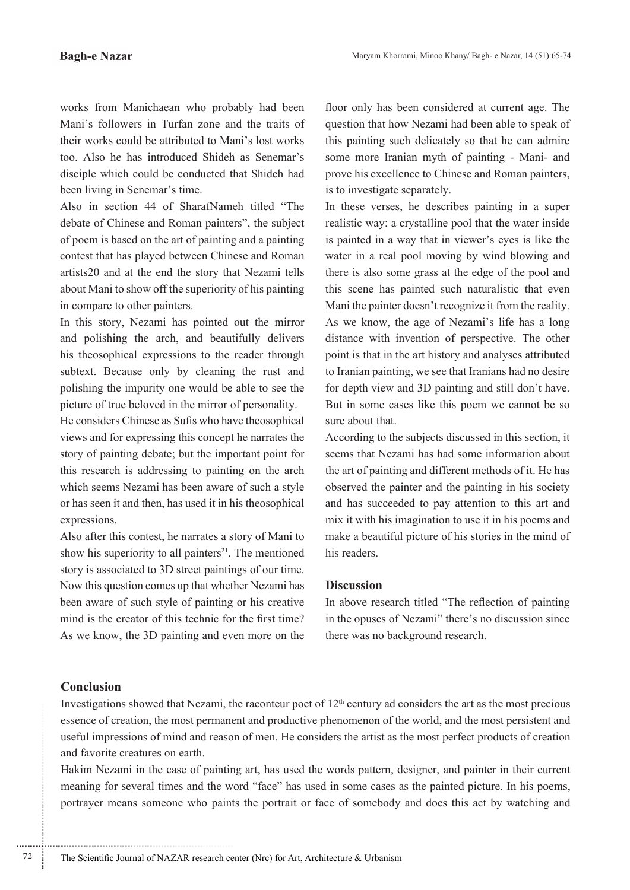works from Manichaean who probably had been Mani's followers in Turfan zone and the traits of their works could be attributed to Mani's lost works too. Also he has introduced Shideh as Senemar's disciple which could be conducted that Shideh had been living in Senemar's time.

Also in section 44 of SharafNameh titled "The debate of Chinese and Roman painters", the subject of poem is based on the art of painting and a painting contest that has played between Chinese and Roman artists 20 and at the end the story that Nezami tells about Mani to show off the superiority of his painting in compare to other painters.

In this story, Nezami has pointed out the mirror and polishing the arch, and beautifully delivers his the osophical expressions to the reader through subtext. Because only by cleaning the rust and polishing the impurity one would be able to see the picture of true beloved in the mirror of personality.

He considers Chinese as Sufis who have theosophical views and for expressing this concept he narrates the story of painting debate; but the important point for this research is addressing to painting on the arch which seems Nezami has been aware of such a style or has seen it and then, has used it in his theosophical expressions.

Also after this contest, he narrates a story of Mani to show his superiority to all painters<sup>21</sup>. The mentioned story is associated to 3D street paintings of our time. Now this question comes up that whether Nezami has been aware of such style of painting or his creative mind is the creator of this technic for the first time? As we know, the 3D painting and even more on the

floor only has been considered at current age. The question that how Nezami had been able to speak of this painting such delicately so that he can admire some more Iranian myth of painting - Mani- and prove his excellence to Chinese and Roman painters, is to investigate separately.

In these verses, he describes painting in a super realistic way: a crystalline pool that the water inside is painted in a way that in viewer's eyes is like the water in a real pool moving by wind blowing and there is also some grass at the edge of the pool and this scene has painted such naturalistic that even Mani the painter doesn't recognize it from the reality. As we know, the age of Nezami's life has a long distance with invention of perspective. The other point is that in the art history and analyses attributed to Iranian painting, we see that Iranians had no desire for depth view and 3D painting and still don't have. But in some cases like this poem we cannot be so sure about that.

According to the subjects discussed in this section, it seems that Nezami has had some information about the art of painting and different methods of it. He has observed the painter and the painting in his society and has succeeded to pay attention to this art and mix it with his imagination to use it in his poems and make a beautiful picture of his stories in the mind of his readers

### **Discussion**

In above research titled "The reflection of painting in the opuses of Nezami" there's no discussion since there was no background research.

# **Conclusion**

Investigations showed that Nezami, the raconteur poet of  $12<sup>th</sup>$  century ad considers the art as the most precious essence of creation, the most permanent and productive phenomenon of the world, and the most persistent and useful impressions of mind and reason of men. He considers the artist as the most perfect products of creation and favorite creatures on earth.

Hakim Nezami in the case of painting art, has used the words pattern, designer, and painter in their current meaning for several times and the word "face" has used in some cases as the painted picture. In his poems, portrayer means someone who paints the portrait or face of somebody and does this act by watching and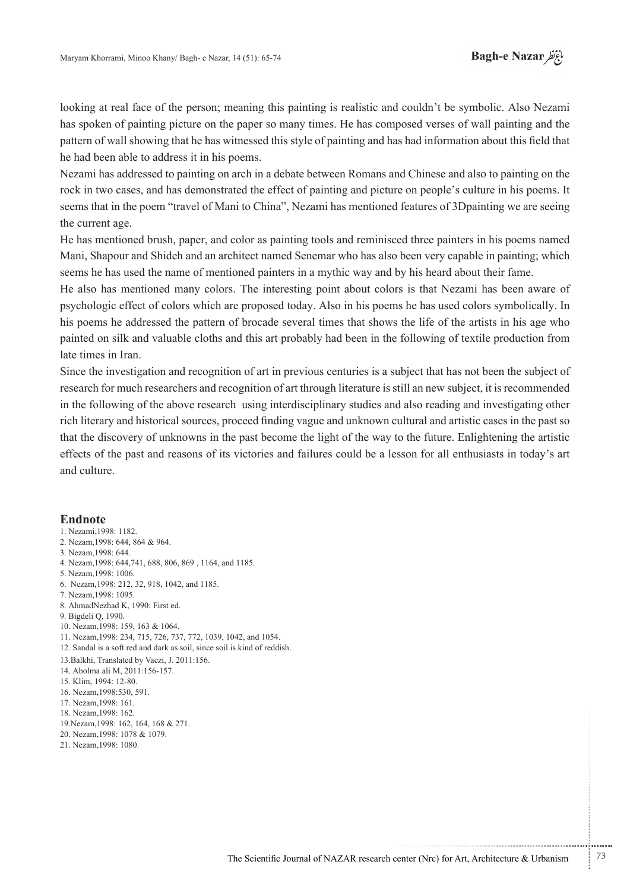looking at real face of the person; meaning this painting is realistic and couldn't be symbolic. Also Nezami has spoken of painting picture on the paper so many times. He has composed verses of wall painting and the pattern of wall showing that he has witnessed this style of painting and has had information about this field that he had been able to address it in his poems.

Nezami has addressed to painting on arch in a debate between Romans and Chinese and also to painting on the rock in two cases, and has demonstrated the effect of painting and picture on people's culture in his poems. It seems that in the poem "travel of Mani to China", Nezami has mentioned features of 3Dpainting we are seeing the current age.

He has mentioned brush, paper, and color as painting tools and reminisced three painters in his poems named Mani, Shapour and Shideh and an architect named Senemar who has also been very capable in painting; which seems he has used the name of mentioned painters in a mythic way and by his heard about their fame.

He also has mentioned many colors. The interesting point about colors is that Nezami has been aware of psychologic effect of colors which are proposed today. Also in his poems he has used colors symbolically. In his poems he addressed the pattern of brocade several times that shows the life of the artists in his age who painted on silk and valuable cloths and this art probably had been in the following of textile production from late times in Iran.

Since the investigation and recognition of art in previous centuries is a subject that has not been the subject of research for much researchers and recognition of art through literature is still an new subject, it is recommended in the following of the above research using interdisciplinary studies and also reading and investigating other rich literary and historical sources, proceed finding vague and unknown cultural and artistic cases in the past so that the discovery of unknowns in the past become the light of the way to the future. Enlightening the artistic effects of the past and reasons of its victories and failures could be a lesson for all enthusiasts in today's art and culture

#### **Endnote**

- 1. Nezami 1998: 1182. 2. Nezam, 1998: 644, 864 & 964. 3. Nezam 1998: 644 4. Nezam, 1998: 644, 741, 688, 806, 869, 1164, and 1185. 5. Nezam 1998: 1006. 6. Nezam, 1998: 212, 32, 918, 1042, and 1185. 7. Nezam, 1998: 1095. 8. AhmadNezhad K, 1990: First ed. 9. Bigdeli Q, 1990. 10. Nezam 1998: 159, 163 & 1064. 11. Nezam, 1998: 234, 715, 726, 737, 772, 1039, 1042, and 1054. 12. Sandal is a soft red and dark as soil, since soil is kind of reddish. 13. Balkhi, Translated by Vaezi, J. 2011:156. 14. Abolma ali M, 2011:156-157. 15. Klim, 1994: 12-80. 16 Nezam 1998:530, 591 17. Nezam 1998: 161. 18 Nezam 1998: 162. 19. Nezam, 1998: 162, 164, 168 & 271. 20. Nezam 1998: 1078 & 1079.
- 21. Nezam, 1998: 1080.

The Scientific Journal of NAZAR research center (Nrc) for Art, Architecture & Urbanism  $\frac{1}{2}$  73

...........................................................

.......... ....... ........ ........... ...... ....... ........ .......... ...........